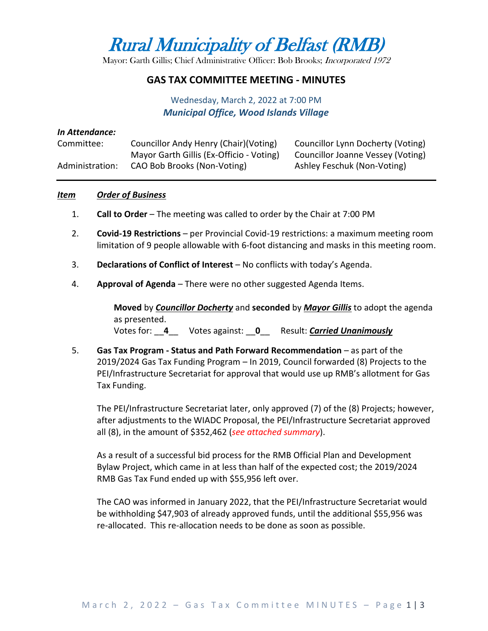Rural Municipality of Belfast (RMB)

Mayor: Garth Gillis; Chief Administrative Officer: Bob Brooks; Incorporated 1972

## **GAS TAX COMMITTEE MEETING - MINUTES**

Wednesday, March 2, 2022 at 7:00 PM *Municipal Office, Wood Islands Village*

#### *In Attendance:*

| Committee:      | Councillor Andy Henry (Chair) (Voting)   | Councillor Lynn Docherty (Voting) |
|-----------------|------------------------------------------|-----------------------------------|
|                 | Mayor Garth Gillis (Ex-Officio - Voting) | Councillor Joanne Vessey (Voting) |
| Administration: | CAO Bob Brooks (Non-Voting)              | Ashley Feschuk (Non-Voting)       |

## *Item Order of Business*

- 1. **Call to Order** The meeting was called to order by the Chair at 7:00 PM
- 2. **Covid-19 Restrictions** per Provincial Covid-19 restrictions: a maximum meeting room limitation of 9 people allowable with 6-foot distancing and masks in this meeting room.
- 3. **Declarations of Conflict of Interest** No conflicts with today's Agenda.
- 4. **Approval of Agenda** There were no other suggested Agenda Items.

**Moved** by *Councillor Docherty* and **seconded** by *Mayor Gillis* to adopt the agenda as presented. Votes for: \_\_**4**\_\_ Votes against: \_\_**0**\_\_ Result: *Carried Unanimously*

5. **Gas Tax Program - Status and Path Forward Recommendation** – as part of the 2019/2024 Gas Tax Funding Program – In 2019, Council forwarded (8) Projects to the PEI/Infrastructure Secretariat for approval that would use up RMB's allotment for Gas Tax Funding.

The PEI/Infrastructure Secretariat later, only approved (7) of the (8) Projects; however, after adjustments to the WIADC Proposal, the PEI/Infrastructure Secretariat approved all (8), in the amount of \$352,462 (*see attached summary*).

As a result of a successful bid process for the RMB Official Plan and Development Bylaw Project, which came in at less than half of the expected cost; the 2019/2024 RMB Gas Tax Fund ended up with \$55,956 left over.

The CAO was informed in January 2022, that the PEI/Infrastructure Secretariat would be withholding \$47,903 of already approved funds, until the additional \$55,956 was re-allocated. This re-allocation needs to be done as soon as possible.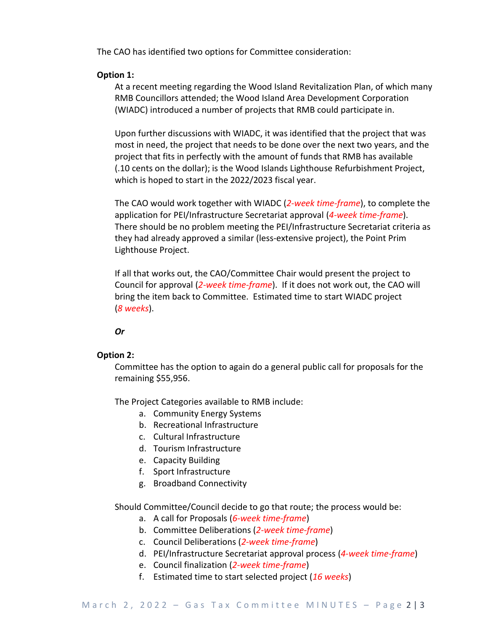The CAO has identified two options for Committee consideration:

# **Option 1:**

At a recent meeting regarding the Wood Island Revitalization Plan, of which many RMB Councillors attended; the Wood Island Area Development Corporation (WIADC) introduced a number of projects that RMB could participate in.

Upon further discussions with WIADC, it was identified that the project that was most in need, the project that needs to be done over the next two years, and the project that fits in perfectly with the amount of funds that RMB has available (.10 cents on the dollar); is the Wood Islands Lighthouse Refurbishment Project, which is hoped to start in the 2022/2023 fiscal year.

The CAO would work together with WIADC (*2-week time-frame*), to complete the application for PEI/Infrastructure Secretariat approval (*4-week time-frame*). There should be no problem meeting the PEI/Infrastructure Secretariat criteria as they had already approved a similar (less-extensive project), the Point Prim Lighthouse Project.

If all that works out, the CAO/Committee Chair would present the project to Council for approval (*2-week time-frame*). If it does not work out, the CAO will bring the item back to Committee. Estimated time to start WIADC project (*8 weeks*).

*Or*

#### **Option 2:**

Committee has the option to again do a general public call for proposals for the remaining \$55,956.

The Project Categories available to RMB include:

- a. Community Energy Systems
- b. Recreational Infrastructure
- c. Cultural Infrastructure
- d. Tourism Infrastructure
- e. Capacity Building
- f. Sport Infrastructure
- g. Broadband Connectivity

Should Committee/Council decide to go that route; the process would be:

- a. A call for Proposals (*6-week time-frame*)
- b. Committee Deliberations (*2-week time-frame*)
- c. Council Deliberations (*2-week time-frame*)
- d. PEI/Infrastructure Secretariat approval process (*4-week time-frame*)
- e. Council finalization (*2-week time-frame*)
- f. Estimated time to start selected project (*16 weeks*)